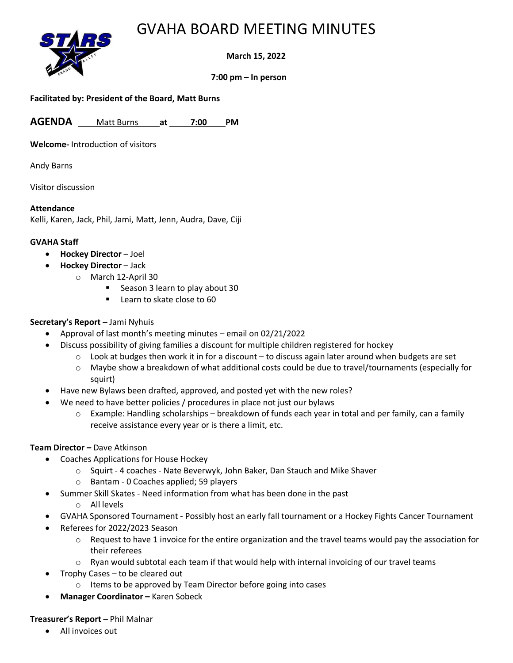# GVAHA BOARD MEETING MINUTES



**March 15, 2022**

**7:00 pm – In person** 

### **Facilitated by: President of the Board, Matt Burns**

**AGENDA** Matt Burns **at 7:00 PM**

**Welcome-** Introduction of visitors

Andy Barns

Visitor discussion

### **Attendance**

Kelli, Karen, Jack, Phil, Jami, Matt, Jenn, Audra, Dave, Ciji

### **GVAHA Staff**

- **Hockey Director** Joel
- **Hockey Director** Jack
	- o March 12-April 30
		- Season 3 learn to play about 30
		- Learn to skate close to 60

## **Secretary's Report –** Jami Nyhuis

- Approval of last month's meeting minutes email on 02/21/2022
	- Discuss possibility of giving families a discount for multiple children registered for hockey
		- $\circ$  Look at budges then work it in for a discount to discuss again later around when budgets are set
		- o Maybe show a breakdown of what additional costs could be due to travel/tournaments (especially for squirt)
- Have new Bylaws been drafted, approved, and posted yet with the new roles?
- We need to have better policies / procedures in place not just our bylaws
	- $\circ$  Example: Handling scholarships breakdown of funds each year in total and per family, can a family receive assistance every year or is there a limit, etc.

## **Team Director –** Dave Atkinson

- Coaches Applications for House Hockey
	- o Squirt 4 coaches Nate Beverwyk, John Baker, Dan Stauch and Mike Shaver
	- o Bantam 0 Coaches applied; 59 players
	- Summer Skill Skates Need information from what has been done in the past
		- o All levels
- GVAHA Sponsored Tournament Possibly host an early fall tournament or a Hockey Fights Cancer Tournament
- Referees for 2022/2023 Season
	- $\circ$  Request to have 1 invoice for the entire organization and the travel teams would pay the association for their referees
	- $\circ$  Ryan would subtotal each team if that would help with internal invoicing of our travel teams
- Trophy Cases to be cleared out
	- o Items to be approved by Team Director before going into cases
- **Manager Coordinator –** Karen Sobeck

#### **Treasurer's Report** – Phil Malnar

• All invoices out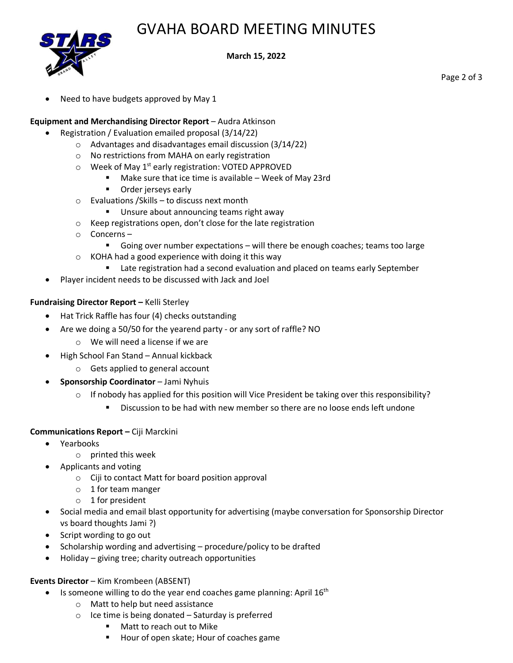# GVAHA BOARD MEETING MINUTES



**March 15, 2022**

Need to have budgets approved by May 1

### **Equipment and Merchandising Director Report** – Audra Atkinson

- Registration / Evaluation emailed proposal (3/14/22)
	- o Advantages and disadvantages email discussion (3/14/22)
	- o No restrictions from MAHA on early registration
	- $\circ$  Week of May 1<sup>st</sup> early registration: VOTED APPROVED
		- Make sure that ice time is available Week of May 23rd
		- Order jerseys early
	- o Evaluations /Skills to discuss next month
		- Unsure about announcing teams right away
	- o Keep registrations open, don't close for the late registration
	- o Concerns
		- Going over number expectations will there be enough coaches; teams too large
	- o KOHA had a good experience with doing it this way
		- Late registration had a second evaluation and placed on teams early September
- Player incident needs to be discussed with Jack and Joel

### **Fundraising Director Report –** Kelli Sterley

- Hat Trick Raffle has four (4) checks outstanding
	- Are we doing a 50/50 for the yearend party or any sort of raffle? NO
		- o We will need a license if we are
- High School Fan Stand Annual kickback
	- o Gets applied to general account
- **Sponsorship Coordinator** Jami Nyhuis
	- $\circ$  If nobody has applied for this position will Vice President be taking over this responsibility?
		- Discussion to be had with new member so there are no loose ends left undone

#### **Communications Report –** Ciji Marckini

- Yearbooks
	- o printed this week
	- Applicants and voting
		- o Ciji to contact Matt for board position approval
		- o 1 for team manger
		- $\circ$  1 for president
- Social media and email blast opportunity for advertising (maybe conversation for Sponsorship Director vs board thoughts Jami ?)
- Script wording to go out
- Scholarship wording and advertising procedure/policy to be drafted
- Holiday giving tree; charity outreach opportunities

#### **Events Director** – Kim Krombeen (ABSENT)

- $\bullet$  Is someone willing to do the year end coaches game planning: April 16<sup>th</sup>
	- o Matt to help but need assistance
	- $\circ$  Ice time is being donated Saturday is preferred
		- Matt to reach out to Mike
		- Hour of open skate; Hour of coaches game

Page 2 of 3